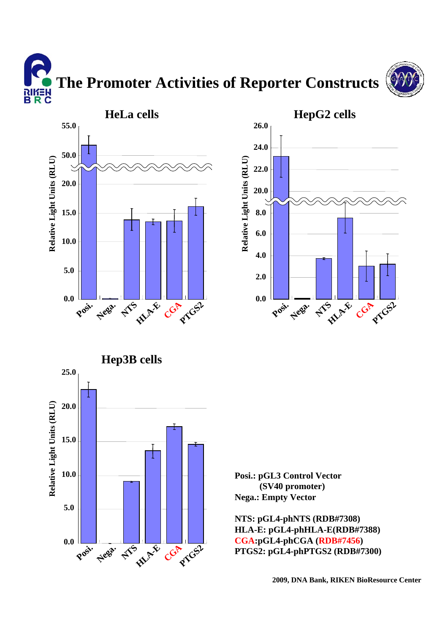**The Promoter Activities of Reporter Constructs** א∃*ו*וא<br>B R C







**Posi.: pGL3 Control Vector (SV40 promoter) Nega.: Empty Vector**

**NTS: pGL4-phNTS (RDB#7308) HLA-E: pGL4-phHLA-E(RDB#7388) CGA:pGL4-phCGA (RDB#7456) PTGS2: pGL4-phPTGS2 (RDB#7300)**

**2009, DNA Bank, RIKEN BioResource Center**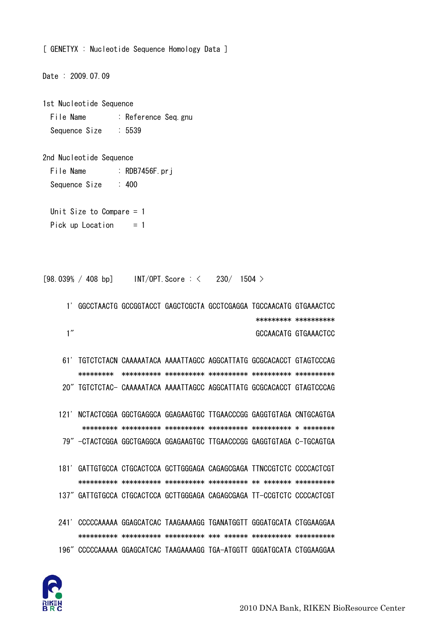

- 241' CCCCCAAAAA GGAGCATCAC TAAGAAAAGG TGANATGGTT GGGATGCATA CTGGAAGGAA 196" CCCCCAAAAA GGAGCATCAC TAAGAAAAGG TGA-ATGGTT GGGATGCATA CTGGAAGGAA
- 181' GATTGTGCCA CTGCACTCCA GCTTGGGAGA CAGAGCGAGA TTNCCGTCTC CCCCACTCGT 137" GATTGTGCCA CTGCACTCCA GCTTGGGAGA CAGAGCGAGA TT-CCGTCTC CCCCACTCGT
- 121' NCTACTCGGA GGCTGAGGCA GGAGAAGTGC TTGAACCCGG GAGGTGTAGA CNTGCAGTGA 79" -CTACTCGGA GGCTGAGGCA GGAGAAGTGC TTGAACCCGG GAGGTGTAGA C-TGCAGTGA
- 61' TGTCTCTACN CAAAAATACA AAAATTAGCC AGGCATTATG GCGCACACCT GTAGTCCCAG 20" TGTCTCTAC- CAAAAATACA AAAATTAGCC AGGCATTATG GCGCACACCT GTAGTCCCAG
- 1' GGCCTAACTG GCCGGTACCT GAGCTCGCTA GCCTCGAGGA TGCCAACATG GTGAAACTCC \*\*\*\*\*\*\*\*\* \*\*\*\*\*\*\*\*\*\*  $1''$ GCCAACATG GTGAAACTCC

 $INT/OPT$ . Score :  $\lt$  230/ 1504  $>$ 

- Unit Size to Compare  $= 1$ Pick up Location  $= 1$
- Sequence Size  $: 5539$ 2nd Nucleotide Sequence

:  $RDB7456F. prj$ 

 $: 400$ 

Date: 2009.07.09

File Name

Sequence Size

 $[98.039% / 408 b]$ 

1st Nucleotide Sequence File Name : Reference Seq.gnu

[ GENETYX : Nucleotide Sequence Homology Data ]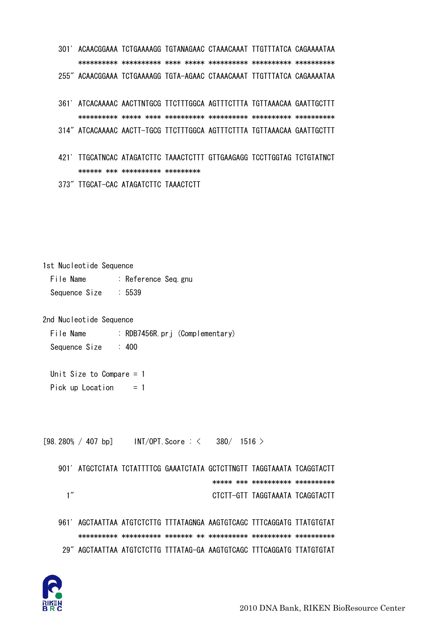301' ACAACGGAAA TCTGAAAAGG TGTANAGAAC CTAAACAAAT TTGTTTATCA CAGAAAATAA \*\*\*\*\*\*\*\*\*\* \*\*\*\*\*\*\*\*\*\* \*\*\*\* \*\*\*\*\* \*\*\*\*\*\*\*\*\*\* \*\*\*\*\*\*\*\*\*\* \*\*\*\*\*\*\*\*\*\* 255" ACAACGGAAA TCTGAAAAGG TGTA-AGAAC CTAAACAAAT TTGTTTATCA CAGAAAATAA 361' ATCACAAAAC AACTTNTGCG TTCTTTGGCA AGTTTCTTTA TGTTAAACAA GAATTGCTTT \*\*\*\*\*\*\*\*\*\* \*\*\*\*\* \*\*\*\* \*\*\*\*\*\*\*\*\*\* \*\*\*\*\*\*\*\*\*\* \*\*\*\*\*\*\*\*\*\* \*\*\*\*\*\*\*\*\*\* 314" ATCACAAAAC AACTT-TGCG TTCTTTGGCA AGTTTCTTTA TGTTAAACAA GAATTGCTTT

 421' TTGCATNCAC ATAGATCTTC TAAACTCTTT GTTGAAGAGG TCCTTGGTAG TCTGTATNCT \*\*\*\*\*\* \*\*\* \*\*\*\*\*\*\*\*\*\* \*\*\*\*\*\*\*\*\* 373" TTGCAT-CAC ATAGATCTTC TAAACTCTT

1st Nucleotide Sequence File Name : Reference Seq.gnu Sequence Size : 5539

2nd Nucleotide Sequence

File Name : RDB7456R.prj (Complementary) Sequence Size : 400

 Unit Size to Compare = 1 Pick up Location  $= 1$ 

 $[98.280\% / 407$  bp] INT/OPT. Score : < 380/ 1516 >

 901' ATGCTCTATA TCTATTTTCG GAAATCTATA GCTCTTNGTT TAGGTAAATA TCAGGTACTT \*\*\*\*\* \*\*\* \*\*\*\*\*\*\*\*\*\* \*\*\*\*\*\*\*\*\*\* 1" CTCTT-GTT TAGGTAAATA TCAGGTACTT

 961' AGCTAATTAA ATGTCTCTTG TTTATAGNGA AAGTGTCAGC TTTCAGGATG TTATGTGTAT \*\*\*\*\*\*\*\*\*\* \*\*\*\*\*\*\*\*\*\* \*\*\*\*\*\*\* \*\* \*\*\*\*\*\*\*\*\*\* \*\*\*\*\*\*\*\*\*\* \*\*\*\*\*\*\*\*\*\* 29" AGCTAATTAA ATGTCTCTTG TTTATAG-GA AAGTGTCAGC TTTCAGGATG TTATGTGTAT